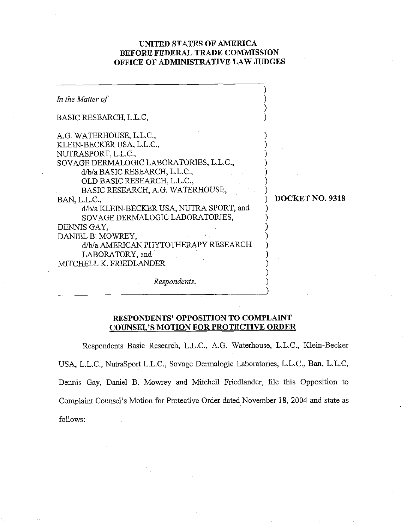# **UNITED STATES OF AMERICA BEFORE FEDERAL TRADE COMMISSION OFFICE OF ADMINISTRATIVE LAW JUDGES**

| In the Matter of                                                                                                                                                                                                                                                                                                                                                                                                                                                     |                 |
|----------------------------------------------------------------------------------------------------------------------------------------------------------------------------------------------------------------------------------------------------------------------------------------------------------------------------------------------------------------------------------------------------------------------------------------------------------------------|-----------------|
| BASIC RESEARCH, L.L.C,                                                                                                                                                                                                                                                                                                                                                                                                                                               |                 |
| A.G. WATERHOUSE, L.L.C.,<br>KLEIN-BECKER USA, L.L.C.,<br>NUTRASPORT, L.L.C.,<br>SOVAGE DERMALOGIC LABORATORIES, L.L.C.,<br>d/b/a BASIC RESEARCH, L.L.C.,<br>OLD BASIC RESEARCH, L.L.C.,<br>BASIC RESEARCH, A.G. WATERHOUSE,<br>BAN, L.L.C.,<br>d/b/a KLEIN-BECKER USA, NUTRA SPORT, and<br>SOVAGE DERMALOGIC LABORATORIES,<br>DENNIS GAY,<br>DANIEL B. MOWREY,<br>d/b/a AMERICAN PHYTOTHERAPY RESEARCH<br>LABORATORY, and<br>MITCHELL K. FRIEDLANDER<br>Respondents. | DOCKET NO. 9318 |
|                                                                                                                                                                                                                                                                                                                                                                                                                                                                      |                 |

# **RESPONDENTS' OPPOSITION TO COMPLAINT COUNSEL'S MOTION FOR PROTECTIVE ORDER**

Respondents Basic Research, L.L.C., A.G. Waterhouse, L.L.C., Klein-Becker USA, L.L.C., NutraSport L.L.C., Sovage Dennalogic Laboratories, L.L.C., Ban, L.L.C, Dennis Gay, Daniel B. Mowrey and Mitchell Friedlmder, file this Opposition to Complaint Counsel's Motion for Protective Order dated November 18, 2004 and state as follows: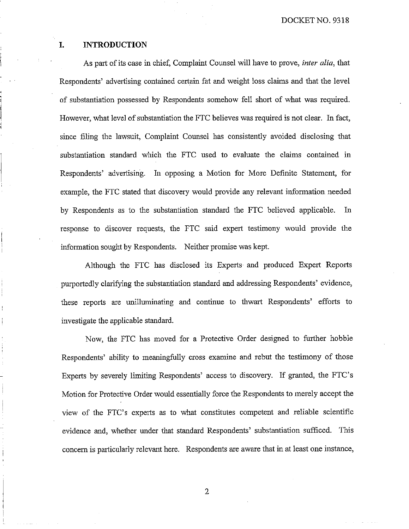### **I. INTRODUCTION**

As part of its case in chief, Complaint Counsel will have to prove, *inter alia*, that Respondents' advertising contained certain fat and weight loss claims and that the level of substantiation possessed by Respondents somehow fell short of what was required. However, what level of substantiation the FTC believes was required is not clear. In fact, since filing the lawsuit, Complaint Counsel has consistently avoided disclosing that substantiation standard which the FTC used to evaluate the claims contained in Respondents' advertising. In opposing a Motion for More Definite Statement, for example, the FTC stated that discovery would provide any relevant information needed by Respondents as to the substantiation standard the FTC believed applicable. Iu response to discover requests, the FTC said expert testimony would provide the information sought by Respondents. Neither promise was kept.

Although the FTC has disclosed its Experts and produced Expert Reports purportedly clarifying the substantiation standard and addressing Respondents' evidence, these reports are unilluminating and continue to thwart Respondents' efforts to investigate the applicable standard.

Now, the FTC has moved for a Protective Order designed to further hobble Respondents' ability to meaningfully cross examine and rebut the testimony of those Experts by severely limiting Respondents' access to discovery. If granted, the FTC's Motion for Protective Order would essentially force the Respondents to merely accept the view of the FTC's experts as to what constitutes competent and reliable scientific evidence and, whether under that standard Respondents' substantiation sufficed. This concern is particularly relevant here. Respondents are aware that in at least one instance,

 $\overline{2}$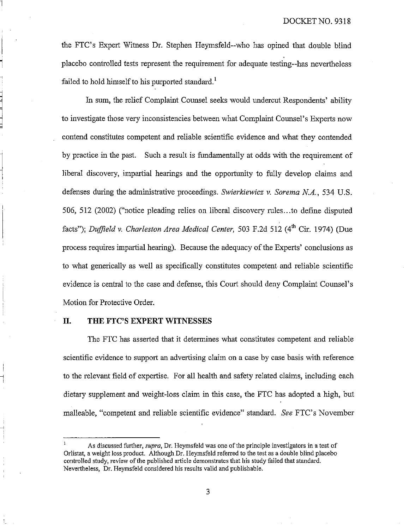the FTC's Expert Witness Dr. Stephen Heymsfeld--who has opined that double blind placebo controlled tests represent the requirement for adequate testing--has nevertheless failed to hold himself to his purported standard.<sup>1</sup>

In sum, the relief Complaint Counsel seeks would undercut Respondents' ability to investigate those very inconsistencies between what Complaint Counsel's Experts now contend constitutes competent and reliable scientific evidence and what they contended by practice in the past. Such a result is fundamentally at odds with the requirement of liberal discovery, impartial hearings and the opportunity to fully develop claims and defenses during the administrative proceedings. *Swierkiewicz v. Sorema N.A.*, 534 U.S. 506, 512 (2002) ("notice pleading relies on liberal discovery rules. ..to define disputed facts"); *Duffield v. Charleston Area Medical Center, 503 F.2d 512 (4<sup>th</sup> Cir. 1974) (Due* process requires iinpartial hearing). Because the adequacy of the Experts' conclusions as to what generically as well as specifically constitutes competent and reliable scientific evidence is central to the case and defense; this Court should deny Complaint Counsel's Motion for Protective Order.

#### **11. THE FTC'S EXPERT WITNESSES**

 $\overline{a}$ 

The FTC has asserted that it determines what constitutes competent and reliable scientific evidence to support an advertising claim on a case by case basis with reference to the relevant field of expertise. For all health and safety related claims, including each dietary supplement and weight-loss claim in this case, the FTC has adopted a high, but malleable, "competent and reliable scientific evidence" standard. *See* FTC's November

As discussed further, *supra*, Dr. Heymsfeld was one of the principle investigators in a test of Orlistat, a weight loss product. Although Dr. Heymsfeld referred to the test as a double blind placebo controlled study, review of the published article demonstrates that his study failed that standard. Nevertheless, Dr. Heymsfeld considered his results valid and publishable.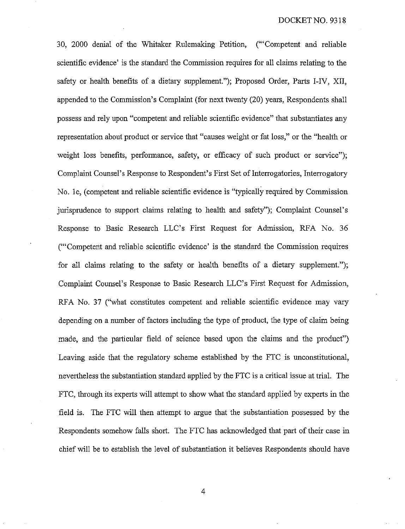30, 2000 denial of the Whitaker Rulemaking Petition, ("'Competent and reliable scientific evidence' is the standard the Commission requires for all claims relating to the safety or health benefits of a dietary supplement."); Proposed Order, Paris I-IV, XII, appended to the Conmission's Complaint (for next twenty (20) years, Respondents shall possess and rely upon "competent and reliable scientific evidence" that substantiates any representation about product or service that "causes weight or fat loss," or the "health or weight loss benefits, performance, safety, or efficacy of such product or service"); Complaint Counsel's Response to Respondent's First Set of Interrogatories, Interrogatory No. 1e, (competent and reliable scientific evidence is "typically required by Commission") jurisprudence to support claims relating to health and safety"); Complaint Counsel's Response to Basic Research LLC's First Request for Admission, RFA No. *36*  ("'Competent and reliable scientific evidence' is the standard the Commission requires for all claims relating to ihe safety or health benefits of a dietary supplement."); Complaint Counsel's Response to Basic Research LLC's First Request for Admission, RFA No. **37** ("what constitutes competent and reliable scientific evidence may vary depending on a number of factors including the type of product, the type of claim being made, and the particular field of science based upon the claims and the product") Leaving aside that the regulatory scheme established by the FTC is unconstitutional, nevertheless the substantiation standard applied by the FTC is a critical issue at trial. The FTC, through its experts will attempt to show what the standard applied by experts in the field is. The FTC will then attempt to argue that the substantiation possessed by the Respondents somehow falls short. The FTC has acknowledged that part of their case in chief will be to establish the level of substantiation it believes Respondents should have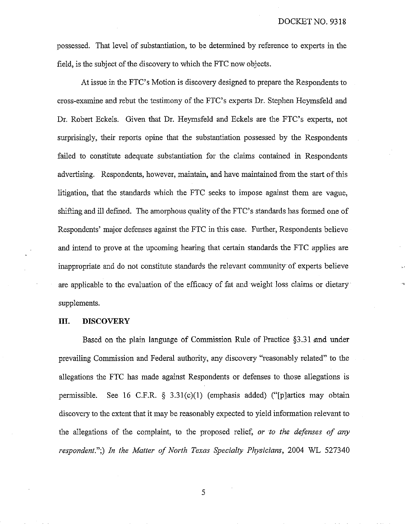possessed. That level of substantiation, to be determined by reference to experts in ihe field, is the subject of the discovery to which the FTC now objects.

At issue in the FTC's Motion is discovery designed to prepare the Respondents to cross-examine and rebut the testimony of the FTC's experts Dr. Stephen Heymsfeld and Dr. Robert Eckels. Given that Dr. Heymsfeld and Eckels are the FTC's experts, not surprisingly, their reports opine that the substantiation possessed by the Respondents failed to constitute adequate substantiation for the claims contained in Respondents advertising. Respondents, however, maintain, and have maintained from the start of this litigation, that the standards which the FTC seeks to impose against them are vague, shifting and ill defined. The amorphous quality of the FTC's standards has formed one of Respondents' major defenses against the FTC in this case. Further, Respondents believe and intend to prove at the upcoming hearing that certain standards the FTC applies are inappropriate and do not constitute standards the relevant community of experts believe are applicable to the evaluation of the efficacy of fat and weight loss claims or dietary supplements.

## **111.** DISCOVERY

Based on the plain language of Commission Rule of Practice §3.31 and under prevailing Commission and Federal authority, any discovery "reasonably related" to the allegations the FTC has made against Respondents or defenses to those allegations is permissible. See 16 C.F.R.  $\delta$  3.31(c)(1) (emphasis added) ("splarties may obtain discovery to the extent that it may be reasonably expected to yield information relevant to the allegations of the complaint, to the proposed relief, *or to the defenses of any respondent.";) In the Matter of North Texas Specialty Physicians,* 2004 WL 527340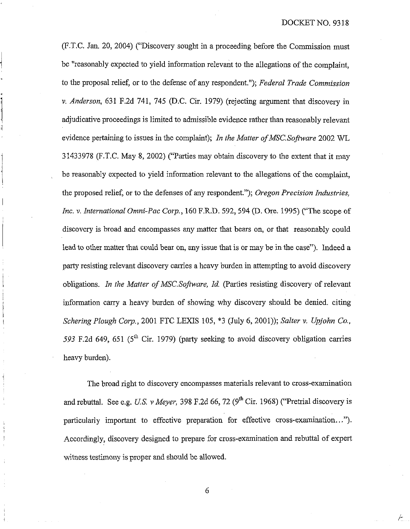(F.T.C. Jan. 20, 2004) ("Discovery sought in a proceeding before the Commission must be "reasonably expected to yield information relevant to the allegations of the complaint, to the proposal relief, or to the defense of any respondent."); *Federal Trade Commission* v. *Andemon,* 631 F.2d 741, 745 (D.C. Cir. 1979) (rejecting argument that discovery in adjudicative proceedings is limited to admissible evidence rather ihan reasonably relevant evidence pertaining to issues in the complaint); *In the Matter of MSC.Sofhuare* 2002 WL 31433978 (F.T.C. May 8, 2002) ("Parties may obtain discovery to the extent that it may be reasonably expected to yield information relevant to the allegations of the complaint, the proposed relief, or to the defenses of any respondent."); *Oregon Precision Industries*, *Inc.* **v.** *International Onaizi-Pac Cory.,* 160 F.R.D. 592,594 @. Ore. 1995) ("The scope of discovery is broad and encompasses any matter that bears on, or that reasonably could lead to other matter that could bear on, any issue that is or may be in the case"). Indeed a party resisting relevant discovery carries a heavy burden in attempting to avoid discovery obligations. *In the Matter of MSC.Software, Id.* (Parties resisting discovery of relevant information carry a heavy burden of showing why discovery should be denied. citing *Schering Plough Corp.,* 2001 FTC LEXIS 105, \*3 (July 6, 2001)); *Salter v. Upjohn Co.,* 593 F.2d 649, 651 (5<sup>th</sup> Cir. 1979) (party seeking to avoid discovery obligation carries heavy burden).

The broad right to discovery encompasses materials relevant to cross-examination and rebuttal. See e.g. *U.S. v Meyer*, 398 F.2d 66, 72 (9<sup>th</sup> Cir. 1968) ("Pretrial discovery is particularly important to effective preparation for effective cross-exanination ..."). Accordingly, discovery designed to prepare for cross-examination and rebuttal of expert witness testimony is proper and should be allowed.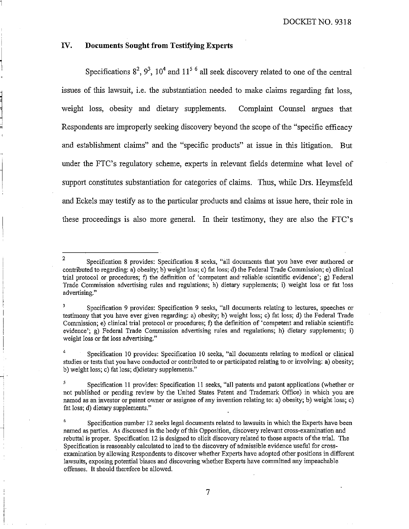## **IV. Documents Sought from Testifying Experts**

Specifications  $8^2$ ,  $9^3$ ,  $10^4$  and  $11^5$ <sup>6</sup> all seek discovery related to one of the central issues of this lawsuit, i.e. the substantiation needed to make claims regarding fat loss, weight loss, obesity and dietary supplements. Complaint Counsel argues that Respondents are improperly seeking discovery beyond the scope of the "specific efficacy and establishment claims" and the "specific products" at issue in this litigation. But under the FTC's regulatory scheme, experts in relevant fields detennine what level of support constitutes substantiation for categories of claims. Thus, while Drs. Heymsfeld and Eckels may testify as to the particular products and claims at issue here, their role in these proceedings is also more general. In their testimony, they are also the FTC's

Specification 10 provides: Specification 10 seeks, "all documents relating to medical or clinical studies or tests that you have conducted or contributed to or participated relating to or involving: a) obesity; b) weight loss; c) fat loss; d)dietary supplements."

<sup>&</sup>lt;sup>2</sup> Specification 8 provides: Specification 8 seeks, "all documents that you have ever authored or contributed to regarding: a) obesity; b) weight loss; c) fat loss; d) the Federal Trade Commission; e) clinical trial protocol or procedures; f) the definition of 'competent and reliable scientific evidence'; g) Federal Trade Commission advertising rules and regulations; h) dietary supplements; i) weight loss or fat loss advertising."

<sup>&</sup>lt;sup>3</sup> Specification 9 provides: Specification 9 seeks, "all documents relating to lectures, speeches or testimony that you have ever given regarding: a) obesity; b) weight loss; c) fat loss; d) the Federal Trade Commission; e) clinical trial protocol or procedures; **f)** the definition of 'competent and reliable scientific evidence'; g) Federal Trade Commission advertising rules and regulations; h) dietary supplements; i) weight loss or fat loss advertising."

<sup>&</sup>lt;sup>5</sup> Specification 11 provides: Specification 11 seeks, "all patents and patent applications (whether or not published or pending review by the United States Patent and Trademark Office) in which you are named as an investor or patent owner or assignee of any invention relating to: a) obesity; b) weight loss; c) fat loss; d) dietary supplements."

**<sup>6</sup>**Specification number 12 seeks legal documents related to lawsuits in which the Experts have been named as parties. As discussed in the body of this Opposition, discovery relevant cross-examination and rebuttal is proper. Specification 12 is designed to elicit discovery related to those aspects of the trial. The Specification is reasonably calculated to lead to the discovery of admissible evidence useful for crossexamination by allowing Respondents to discover whether Experts have adopted other positions in different lawsuits, exposing potential biases and discovering whether Experts have committed any impeachable offenses. It should therefore be allowed.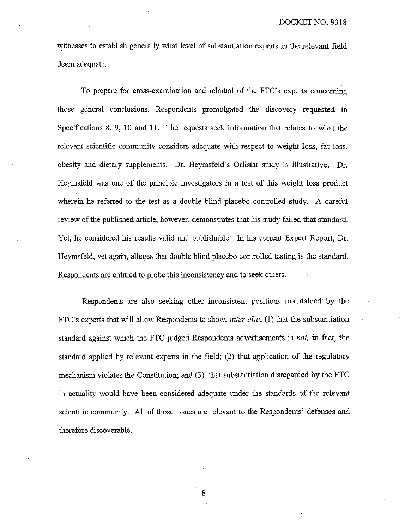witnesses to establish generally what level of substantiation experts in ihe relevant field deem adequate.

To prepare for cross-examination and rebuttal of the FTC's experts concerning those general conclusions, Respondents promulgated the discovery requested in Specifications 8, 9, 10 and 11. The requests seek information that relates to what the relevant scientific community considers adequate with respect to weight loss, fat loss, obesity and dietary supplements. Dr. Heymsfeld's Orlistat study is illustrative. Dr. Heymsfeld was one of the principle investigators in a test of this weight loss product wherein he referred to the test as a double blind placebo controlled study. A careful review of the published article, however, demonstrates that his study failed that standard. Yet, he considered his results valid and publishable. In his current Expert Report, Dr. Heymsfeld, yet again, alleges that double blind placebo controlled testing is the standard. Respondents are entitled to probe this inconsistency and to seek others.

Respondents are also seeking other inconsistent positions maintained by the FTC's experts that will allow Respondents to show, *inter alia*, (1) that the substantiation standard against which the FTC judged Respondents advertisements is *not*, in fact, the standard applied by relevant experts in the field; (2) that application of the regulatory mechanism violates the Constitution; and  $(3)$  that substantiation disregarded by the FTC in actuality would have been considered adequate under the standards of the relevant scientific community. All of those issues are relevant to the Respondents' defenses and therefore discoverable.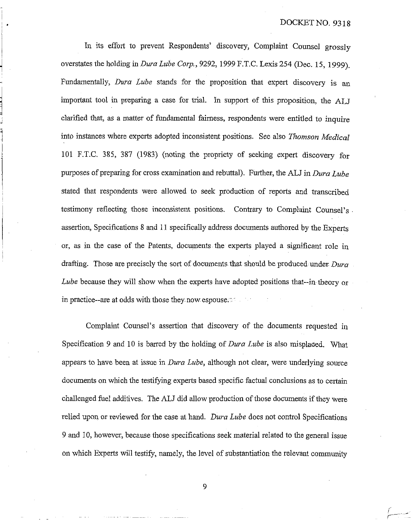In its effort to prevent Respondents' discovery, Complaint Counsel grossly overstates the holding in *Dura Lube Corp.,* 9292, 1999 F.T.C. Lexis 254 (Dec. 15, 1999). Fundamentally, *Dwa Lube* stands for the proposition that expert discovery is important tool in preparing a case for trial. In support of this proposition, the ALJ clarified that, as a matter of fundamental fairness, respondents were entitled to inquire into instances where experts adopted inconsistent positions. See also *Thornson Medical*  101 F.T.C. 385, 387 (1983) (noting the propriety of seeking expert discovery for purposes of preparing for cross examination and rebuttal). Further, the ALJ in *Dura Lube*  stated that respondents were allowed to seek production of reports and transcribed testimony reflecting those inconsistent positions. Contrary to Complaint Counsel's assertion, Specifications 8 and 11 specifically address documents authored by the Experts or, as in the case of the Patents, documents the experts played a significant role in drafting. Those are precisely the sort of documents that should be produced under. *Dura Lube* because they will show when the experts have adopted positions that--in theory or in practice--are at odds with those they now espouse.

Complaint Counsel's assertion that discovery of the documents requested in Specification 9 and 10 is barred by the holding of *Dura Lube* is also misplaced. What appears to have been at issue in *Dura Lube*, although not clear, were underlying source documents on which the testifying experts based specific factual conclusions as to certain challenged fuel additives. The ALJ did allow production of those documents if they were relied upon or reviewed for the case at hand. *Dura Lube* does not control Specifications 9 and 10, however, because those specifications seek material related to the general issue on which Experts will testify, namely, the level of substantiation the relevant community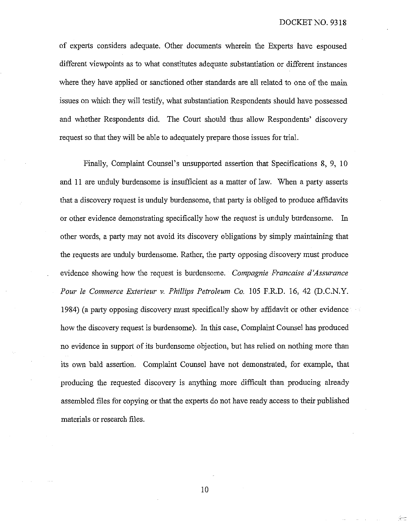of experts considers adequate. Other documents wherein the Experts have espoused different viewpoints as to what constitutes adequate substantiation or different instances where they have applied or sanctioned other standards are all related to one of the main issues on which they will testify, what substantiation Respondents should have possessed and whether Respondents did. The Court should thus allow Respondents' discovery request so that they will be able to adequately prepare those issues for trial.

Finally, Complaint Counsel's unsupported assertion that Specifications 8, 9, 10 and 11 are unduly burdensome is insufficient as a matter of law. When a party asserts that a discovery request is unduly burdensome, that party is obliged to produce affidavits or other evidence demonstrating specifically how the request is unduly burdensome. In other words, a party may not avoid its discoveiy obligations by simply maintaining that the requests are unduly burdensome. Rather, the party opposing discovery must produce evidence showing how the request is burdensome. *Compagnie Francaise d'Assurance Pour le Con7nzerce Exterieur* **v.** *Phillips Petroleum Co.* 105 F.R.D. *16,* 42 (D.C.N.Y. 1984) (a party opposing discovery must specifically show by affidavit or other evidence how the discovery request is burdensome). In this case, Complaint Counsel has produced no evidence in support of its burdensome objection, but has relied on nothing more than its own bald assertion. Complaint Counsel have not demonstrated, for example, that producing the requested discovery is anytling more difficult than producing already assembled files for copying or that the experts do not have ready access to their published materials or research files.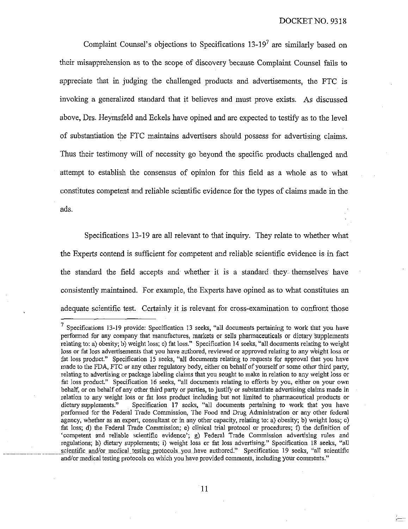Complaint Counsel's objections to Specifications  $13-19<sup>7</sup>$  are similarly based on their misapprehension as to the scope of discovery because Complaint Counsel fails to appreciate that in judging the challenged products and advertisements, the FTC is invoking a generalized standard that it believes and must prove exists. As discussed above. Drs. Heymsfeld and Eckels have opined and are expected to testify as to the level of substantiation the FTC maintains advertisers should possess for advertising claims. Thus their testimony will of necessity go beyond the specific products challenged and attempt to establish the consensus of opinion for this field as a whole as to what constitutes competent and reliable scientific evidence for the types of claims made in the ads.

Specifications 13-19 are all relevant to that inquiry. They relate to whether what the Experts contend is sufficient for competent and reliable scientific evidence is in fact the standard the field accepts and whether it is a standard they themselves have consistently maintained. For example, the Experts have opined as to what constitutes an adequate scientific test. Certainly it is relevant for cross-examination to confiont those

 $\frac{7}{1}$  Specifications 13-19 provide: Specification 13 seeks, "all documents pertaining to work that you have performed for any company that manufactures, markets or sells pharmaceuticals or dietary supplements relating to: a) obesity; b) weight loss; c) fat loss." Specification 14 seeks, "all documents relating to weight loss or fat loss advertisements that you have authored, reviewed or approved relating to any weight loss or fat loss product." Specification 15 seeks, "all documents relating to requests for approval that you have made to the FDA, FTC or any other regulatory body, either on behalf of yourself or some other third party, relating to advertising or package labeling claims that you sought to make in relation to any weight loss or fat loss product." Specification 16 seeks, "all documents relating to efforts by you, either on your own behalf, or on behalf of any other third party or parties, to justify or substantiate advertising claims made in relation to any weight loss or fat loss product including but not limited to pharmaceutical products or dietary supplements." Specification 17 seeks, "all documents pertaining to work that you have performed for the Federal Trade Commission, The Food and Drug Administration or any other federal agency, whether as an expert, consultant or in any ofher capacity, relating to: a) obesity; b) weight loss; c) fat loss; d) the Federal Trade Commission; e) clinical trial protocol or procedures; **f)** the defmition of 'competent and reliable scientific evidence'; g) Federal Trade Commission adveitising rules and regulations; h) dietary supplements; i) weight loss or fat loss advertising." Specification 18 seeks, "all scientific and/or medical testing protocols you have authored." Specification 19 seeks, "all scientific and/or medical testing protocols on which you have provided comments, including your comments."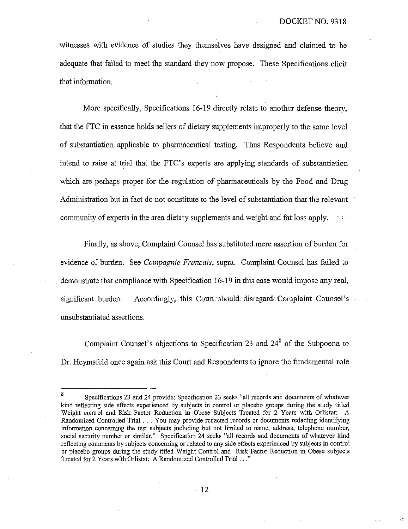witnesses with evidence of studies they themselves have designed and claimed to be adequate that failed to meet the standard they now propose. These Specifications elicit that information.

More specifically, Specifications 16-19 directly relate to another defense theory, that the FTC in essence holds sellers of dietary supplements improperly to the same level of substantiation applicable to pharmaceutical testing. Thus Respondents believe and intend to raise at trial that the FTC's experts are applying standards of substantiation which are perhaps proper for the regulation of pharmaceuticals by the Food and Drug Administration but in fact do not constitute to the level of substantiation that the relevant community of experts in the area dietary supplements and weight and fat loss apply.

Finally, as above, Complaint Counsel has substituted mere assertion of burden for evidence of burden. See *Compagnie Francais*, supra. Complaint Counsel has failed to demonstrate that compliance with Specification 16-19 in this case would impose any real, significant burden. Accordingly, this Court should disregard Complaint Counsel's unsubstantiated assertions.

Complaint Counsel's objections to Specification 23 and  $24<sup>8</sup>$  of the Subpoena to Dr. Heymsfeld once again ask this Court and Respondents to ignore the fundamental role

**<sup>8</sup>**Specifications **23** and **24** provide: Specification **23** seeks "all records and documents of whatever kind reflecting side effects experienced by subjects in control or placebo groups during the study titled Weight control and Risk Factor Reduction in Obese Subjects Treated for 2 Years with Orlistat: A Randomized Controlled Trial . . . You may prcvide redacted records or documents redacting identifying information concerning the test subjects including but not limited to name, address, telephone number, social security number or similar." Specification 24 seeks "all records and documents of whatever kind reflecting comments by subjects concerning or related lo any side effects experienced by subjects in control or placebo groups during the study titled Weight Control and Risk Factor Reduction in Obese subjects Treated for **2** Years wit11 Orlistat: **A** Randomized Controlled Trial . . ."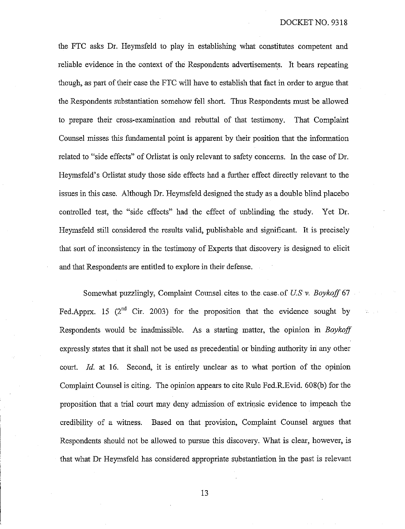the FTC asks Dr. Heymsfeld to play in establishing what constitutes competent and reliable evidence in the context of the Respondents advertisements. It bears repeating though, as part of their case the FTC will have to establish that fact in order to argue that the Respondents substantiation somehow fell short. Thus Respondents must be allowed to prepare their cross-examination and rebuttal of that testimony. That Complaint Counsel misses this fundamental point is apparent by their position that the information related to "side effects" of Orlistat is only relevant to safety concerns. In the case of Dr. Ileymsfeld's Orlistat study those side effects had a further effect directly relevant to the issues in this case. Although Dr. Heymsfeld designed the study as a double blind placebo controlled test, the "side effects" had the effect of unblinding the study. Yet Dr. Heymsfeld still considered the results valid, publishable and significant. It is precisely that sort of inconsistency in the testimony of Experts that discovery is designed to elicit and that Respondents are entitled to explore in their defense.

Somewhat puzzlingly, Complaint Counsel cites to the case of *U.S. v. Boykoff* 67 Fed.Apprx. 15  $(2^{nd}$  Cir. 2003) for the proposition that the evidence sought by Respondents would be inadmissible. As a starting matter, the opinion in *Boykoff*  expressly states that it shall not be used as precedential or binding authority in any other court. Id. at 16. Second, it is entirely unclear as to what portion of the opinion Complaint Counsel is citing. The opinion appears to cite Rule Fed.R.Evid. 608(b) for the proposition that a trial court may deny adrnission of extrinsic evidence to impeach the credibility of a witness. Based on that provision, Complaint Counsel argues that Respondents should not be allowed to pursue this discovery. What is clear, however, is that what Dr Heymsfeld has considered appropriate substantiation in the past is relevant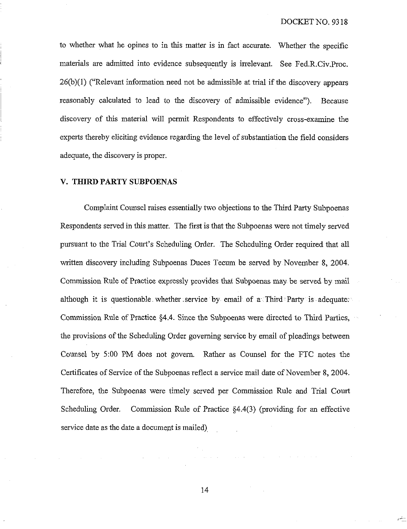to whether what he opines to in ihis matter is in fact accurate. Whether the specific inaterials are admitted into evidence subsequently is irrelevant. See Fed.R.Civ.Proc. 26(b)(l) ("Relevant information need not be admissible at trial if the discovery appears reasonably calculated to lead to the discovery of admissible evidence"). Because discovery of this material will permit Respondents to effectively cross-examine the experts thereby eliciting evidence regarding the level of substantiation the field considers adequate, the discovery is proper.

## **V. THIRD PARTY SUBPOENAS**

Complaint Counsel raises essentially two objections to the Third Party Subpoenas Respondents served in this matter. The first is that the Subpoenas were not timely served pursuant to the Trial Court's Scheduling Order. The Scheduling Order required that all written discovery including Subpoenas Duces Tecum be served by November 8, 2004. Commission Rule of Practice expressly provides that Subpoenas may be served by mail although it is questionable whether service by email of a Third Party is adequate. Commission Rule of Practice  $§4.4$ . Since the Subpoenas were directed to Third Parties, the provisions of the Scheduling Order governing service by email of pleadings between Counsel by 5:00 PM does not govern. Rather as Counsel for the FTC notes the Certificates of Service of the Subpoenas reflect a service mail date of November 8, 2004. Therefore, the Subpoenas were timely served per Commission Rule and Trial Court Scheduling Order. Commission Rule of Practice  $§4.4(3)$  (providing for an effective service date as the date a document is mailed)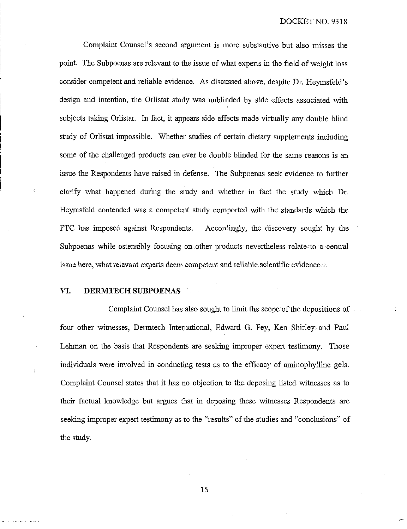Complaint Counsel's second argument is more substantive but also misses the point. The Subpoenas are relevant to the issue of what experts in the field of weight loss consider competent and reliable evidence. As discussed above, despite Dr. Heymsfeld's design and intention, the Orlistat study was unblinded by side effects associated with subjects taking Orlistat. In fact, it appears side effects made virtually any double blind study of Orlistat impossible. Whether studies of certain dietary supplements including some of the challenged products can ever be double blinded for the same reasons is an issue the Respondents have raised in defense. The Subpoenas seek evidence to further clarify what happened during the study and whether in fact the study which Dr. Heymsfeld contended was a competent study comported with the standards wluch the FTC has imposed against Respondents. Accordingly, the discovery sought by the Subpoenas while ostensibly focusing on other products nevertheless relate to a central issue here, what relevant experts deem competent and reliable scientific evidence.

### **VI. DERMTECH SUBPOENAS**

I

Complaint Counsel has also sought to limit the scope of the depositions of four other witnesses, Dermtech International, Edward G. Fey, Ken Shirley and Paul Lehman on the basis that Respondents are seeking improper expert testimony. Those individuals were involved in conducting tests as to the efficacy of aminophylline gels. Complaint Counsel states that it has no objection to the deposing listed witnesses as to their factual knowledge but argues that in deposing these witnesses Respondents are seeking improper expert testimony as to the "results" of the studies and "conclusions" of the study.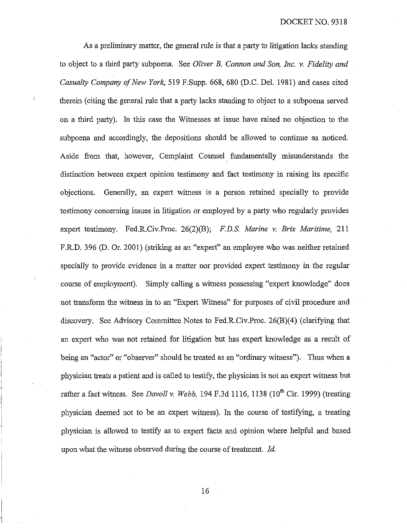#### DOCKET NO. 9318

As a preliminary matter, the general rule is that a party to litigation lacks standing to object to a third party subpoena. See *Oliver B. Cannon. and Son, Inc.* **v.** *Fidelity and Casualty Company of New York*, 519 F.Supp. 668, 680 (D.C. Del. 1981) and cases cited therein (citing the general rule that a party lacks standing to object to a subpoena served on a third party). In this case the Witnesses at issue have raised no objection to the subpoena and accordingly, the depositions should be allowed to continue as noticed. Aside from that, however, Complaint Counsel fimdarnentally misunderstands the distinction between expert opinion testimony and fact testimony in raising its specific objections. Generally, an expert witness is a person retained specially to provide testimony concerning issues in litigation or employed by a party who regularly provides expert testimony. Fed.R.Civ.Proc. 26(2)(B); *F. D.S. Marine* **v.** *Brix Maritime,* 21 1 F.R.D. 396 (D. Or. 2001) (striking as an "expert" an employee who was neither retained specially to provide evidence in a matter nor provided expert testimony in the regular course of employment). Simply calliig a witness possessing "expert howledge" does not transform the witness in to an "Expert Witness" for purposes of civil procedure and discovery. See Advisory Committee Notes to Fed.R.Civ.Proc. 26(B)(4) (clarifying that an expert who was not retained for litigation but has expert knowledge as a result of being an "actor" or "observer" should be treated as an "ordinary witness"). Thus when a physician treats a patient and is called to testify, the physician is not an expert witness but rather a fact witness. See *Davoll v. Webb*, 194 F.3d 1116, 1138 (10<sup>th</sup> Cir. 1999) (treating physician deemed not to be an expert witness). In the course of testifying, a treating physician is allowed to testify as to expert facts and opinion where helpful and based upon what the witness observed during the course of treatment. *Id.*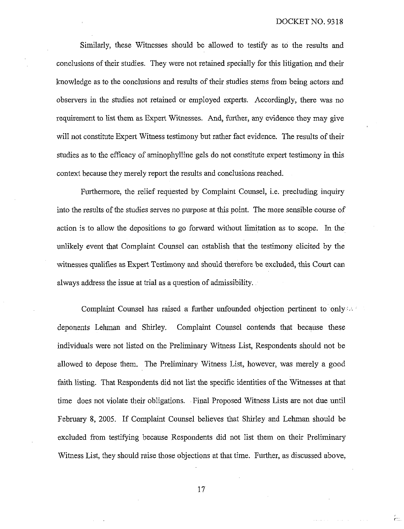ĥш

Similarly, these Witnesses should be allowed to testify as to the results and conclusions of their studies. They were not retained specially for this litigation and their knowledge as to the conclusions and results of their studies stems from being actors and observers in the studies not retained or employed experts. Accordingly, there was no requirement to list them as Expert Witnesses. And, further, any evidence they may give will not constitute Expert Witness testimony but rather fact evidence. The results of their studies as to the efficacy of aminophylline gels do not constitute expert testimony in this context because they merely report the results and conclusions reached.

Furthermore, the relief requested by Complaint Counsel, i.e. precluding inquiry into the results of the studies serves no purpose at this point. The more sensible course of action is to allow the depositions to go forward without limitation as to scope. In the unlikely event that Complaint Counsel can establish that the testimony elicited by the witnesses qualifies as Expert Testimony and should therefore be excluded, this Court can always address the issue at trial as a question of admissibility.

Complaint Counsel has raised a further unfounded objection pertinent to only  $\sim$ deponents Lehman and Shirley. Complaint Counsel contends that because these individuals were not listed on the Preliminary Witness List, Respondents should not be allowed to depose them. The Preliminary Witness List, however, was merely a good faith listing. That Respondents did not list the specific identities of the Witnesses at that time does not violate their obligations. Final Proposed Witness Lists are not due until February 8, 2005. If Complaint Counsel believes that Shirley and Lehman should be excluded from testifying because Respondents did not list them on their Preliminary Witness List, they should raise those objections at that time. Futher, as discussed above,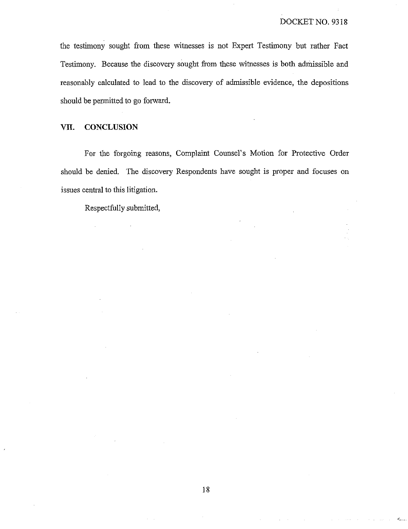the testimony sought from these witnesses is not Expert Testimony but rather Fact Testimony. Because the discovery sought from these witnesses is both admissible and reasonably calculated to lead to the discovery of admissible evidence, the depositions should be permitted to go forward.

## **VII. CONCLUSION**

For the forgoing reasons, Complaint Counsel's Motion for Protective Order should be denied. The discovery Respondents have sought is proper and focuses on issues central to this litigation.

Respectfully submitted,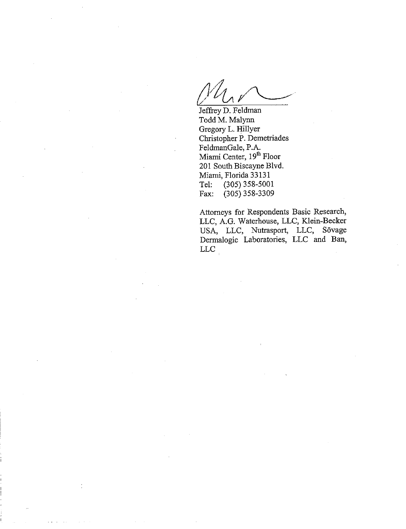Jeffrey D. Feldman odd **M.** Malynn Gregory L. Hillyer Christopher P. Demetriades FeldmanGale, P.A. Miami Center, 19<sup>th</sup> Floor 201 South Biscayne Blvd. Miami, Florida 33 13 1 Tel: (305) 358-5001<br>Fax: (305) 358-3309  $(305)$  358-3309

Attorneys for Respondents Basic Research, LLC, A.G. Waterhouse, LLC, Klein-Becker USA, LLC, Nutrasport, LLC, Sövage Dermalogic Laboratories, LLC and Ban, LLC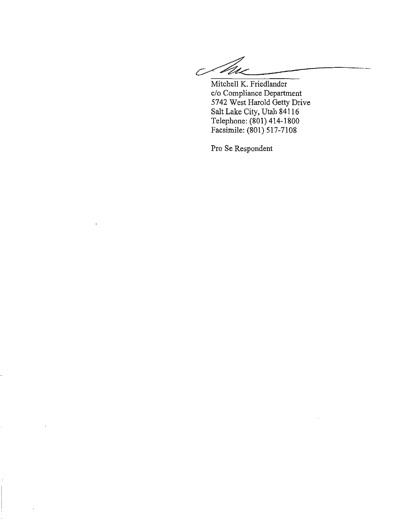Mitchell K. Friedlander<br>
c/o Compliance Department<br>
5742 West Harold Getty Drive<br>
Salt Lake City, Utah 84116<br>
Telephone: (801) 414-1800<br>
Facsimile: (801) 517-7108<br>
Pro Se Respondent Mitchell K. Friedlander c/o Compliance Departinent 5742 West Harold Getty Drive Salt Lake City, Utah 841 16 Telephone: (801) 414-1800 Facsimile: (801) 517-7108

Pro Se Respondent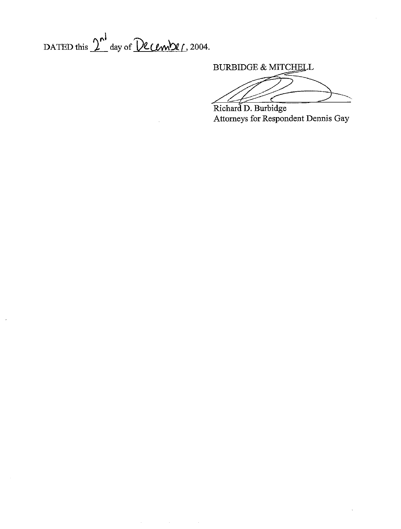DATED this  $2^{\mathsf{N}}$  day of December, 2004.

 $\hat{\mathcal{A}}$ 

 $\bar{\gamma}$ 

**BURBIDGE & MITCHELL** 

 $\frac{1}{2}$ Attorneys for Respondent Dennis Gay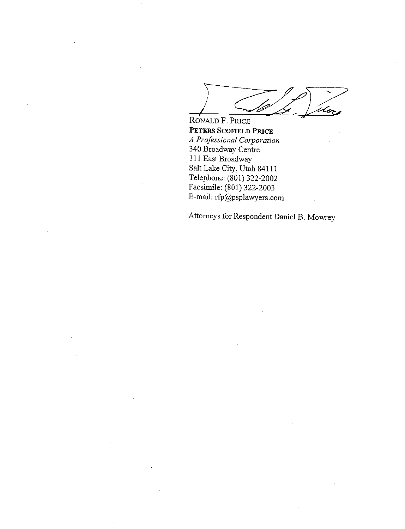l Co

RONALD F. PRICE **PETERS SCOFIELD PRICE A** *Professional Corporation*  340 Broadway Centre 111 East Broadway Salt Lake City, Utah 841 11 Telephone: (801) 322-2002 Facsimile: (801) 322-2003 E-mail: rfp@psplawyers.com

Attorneys for Respondent Daniel B. Mowrey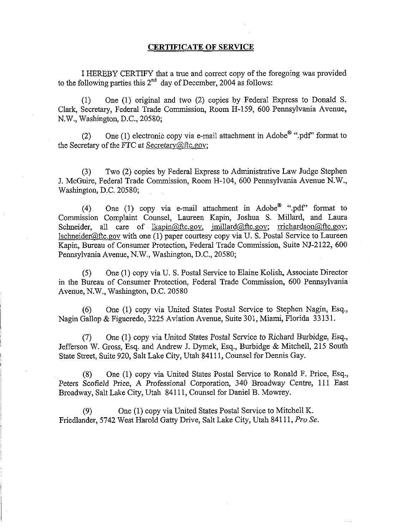## **CERTIFICATE OF SERVICE**

I HEREBY CERTIFY that a true and correct copy of the foregoing was provided to the following parties this  $2^{nd}$  day of December, 2004 as follows:

(1) One (1) original and two (2) copies by FederaI Express to Donald S. Clark, Secretary, Federal Trade Commission, Room H-159, 600 Pennsylvania Avenue, N.W., Washington, D.C., 20580;

(2) One (1) electronic copy via e-mail attachment in Adobe<sup>®</sup> ".pdf" format to the Secretary of the FTC at Secretary@ftc.gov;

(3) Two (2) copies by Federal Express to Administrative Law Judge Stephen J. McGuire, Federal Trade Commission, Room H-104, 600 Pennsylvania Avenue N.W., Washington, D.C. 20580;

(4) One (1) copy via e-mail attachment in  $\text{Adobe}^{\textcircled{m}}$  ".pdf" format to Commission Complaint Counsel, Laureen Kapin, Joshua S. Millard, and Laura Schneider, all care of lkapin@ftc.gov, imillard@ftc.gov; rrichardson@ftc.gov;  $1$ schneider@ftc.gov with one (1) paper courtesy copy via U. S. Postal Service to Laureen Kapin, Bureau of Consumer Protection, Federal Trade Commission, Suite NJ-2122, 600 Pennsylvania Avenue, N.W., Washington, D.C., 20580;

(5) One (1) copy via U. S. Postal Service to Elaine Kolish, Associate Director in the Bureau of Consumer Protection, Federal Trade Commission, 600 Pennsylvania Avenue, N.W., Washington, D.C. 20580

(6) One (1) copy via United States Postal Service to Stephen Nagin, Esq., Nagin Gallop & Figueredo, 3225 Aviation Avenue, Suite 301, Miami, Florida 33 13 1.

(7) One (1) copy via United States Postal Service to Richard Burbidge, Esq., Jefferson W. Gross, Esq. and Andrew J. Dymek, Esq., Burbidge & Mitchell, 215 South State Street, Suite 920, Salt Lake City, Utah 841 11, Counsel for Dennis Gay.

(8) One (1) copy via United States Postal Service to Ronald F. Price, Esq., Peters Scofield Price, A Professional Corporation, 340 Broadway Centre, 111 East Broadway, Salt Lake City, Utah 841 11, Counsel for Daniel B. Mowrey.

(9) One (1) copy via United States Postal Service to Mitchell K. Friedlander, 5742 West Harold Gatty Drive, Salt Lake City, Utah 841 11, *Pro Se.*